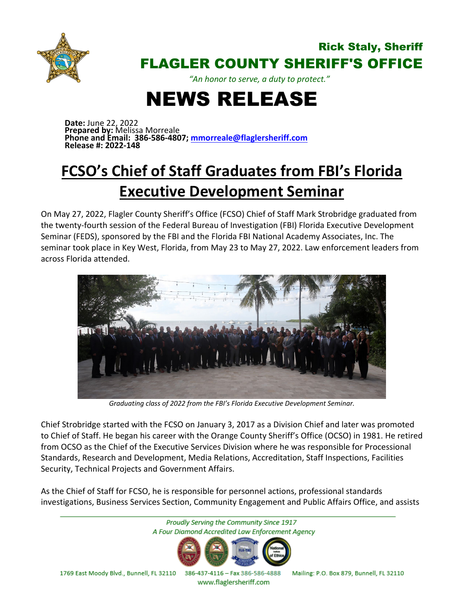

## Rick Staly, Sheriff FLAGLER COUNTY SHERIFF'S OFFICE

*"An honor to serve, a duty to protect."*

## NEWS RELEASE

**Date:** June 22, 2022 **Prepared by:** Melissa Morreale **Phone and Email: 386-586-4807; [mmorreale@flaglersheriff.com](mailto:mmorreale@flaglersheriff.com) Release #: 2022-148**

## **FCSO's Chief of Staff Graduates from FBI's Florida Executive Development Seminar**

On May 27, 2022, Flagler County Sheriff's Office (FCSO) Chief of Staff Mark Strobridge graduated from the twenty-fourth session of the Federal Bureau of Investigation (FBI) Florida Executive Development Seminar (FEDS), sponsored by the FBI and the Florida FBI National Academy Associates, Inc. The seminar took place in Key West, Florida, from May 23 to May 27, 2022. Law enforcement leaders from across Florida attended.



*Graduating class of 2022 from the FBI's Florida Executive Development Seminar.*

Chief Strobridge started with the FCSO on January 3, 2017 as a Division Chief and later was promoted to Chief of Staff. He began his career with the Orange County Sheriff's Office (OCSO) in 1981. He retired from OCSO as the Chief of the Executive Services Division where he was responsible for Processional Standards, Research and Development, Media Relations, Accreditation, Staff Inspections, Facilities Security, Technical Projects and Government Affairs.

As the Chief of Staff for FCSO, he is responsible for personnel actions, professional standards investigations, Business Services Section, Community Engagement and Public Affairs Office, and assists